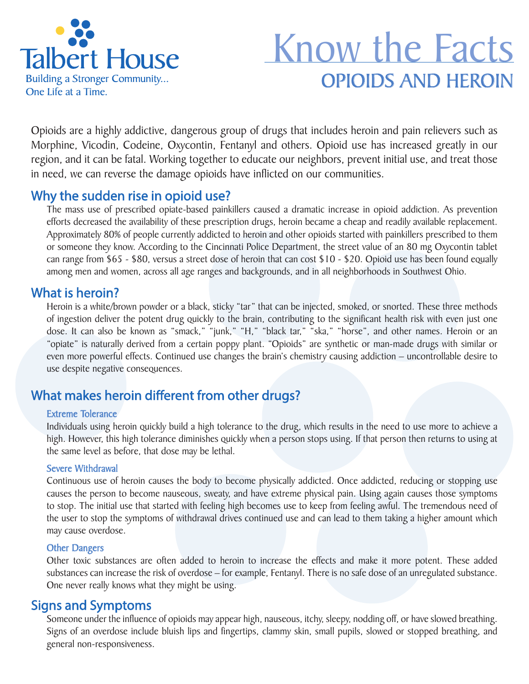

# OPIOIDS AND HEROIN Know the Facts

Opioids are a highly addictive, dangerous group of drugs that includes heroin and pain relievers such as Morphine, Vicodin, Codeine, Oxycontin, Fentanyl and others. Opioid use has increased greatly in our region, and it can be fatal. Working together to educate our neighbors, prevent initial use, and treat those in need, we can reverse the damage opioids have inflicted on our communities.

## Why the sudden rise in opioid use?

The mass use of prescribed opiate-based painkillers caused a dramatic increase in opioid addiction. As prevention efforts decreased the availability of these prescription drugs, heroin became a cheap and readily available replacement. Approximately 80% of people currently addicted to heroin and other opioids started with painkillers prescribed to them or someone they know. According to the Cincinnati Police Department, the street value of an 80 mg Oxycontin tablet can range from \$65 - \$80, versus a street dose of heroin that can cost \$10 - \$20. Opioid use has been found equally among men and women, across all age ranges and backgrounds, and in all neighborhoods in Southwest Ohio.

### What is heroin?

Heroin is a white/brown powder or a black, sticky "tar" that can be injected, smoked, or snorted. These three methods of ingestion deliver the potent drug quickly to the brain, contributing to the significant health risk with even just one dose. It can also be known as "smack," "junk," "H," "black tar," "ska," "horse", and other names. Heroin or an "opiate" is naturally derived from a certain poppy plant. "Opioids" are synthetic or man-made drugs with similar or even more powerful effects. Continued use changes the brain's chemistry causing addiction – uncontrollable desire to use despite negative consequences.

## What makes heroin different from other drugs?

#### Extreme Tolerance

Individuals using heroin quickly build a high tolerance to the drug, which results in the need to use more to achieve a high. However, this high tolerance diminishes quickly when a person stops using. If that person then returns to using at the same level as before, that dose may be lethal.

#### Severe Withdrawal

Continuous use of heroin causes the body to become physically addicted. Once addicted, reducing or stopping use causes the person to become nauseous, sweaty, and have extreme physical pain. Using again causes those symptoms to stop. The initial use that started with feeling high becomes use to keep from feeling awful. The tremendous need of the user to stop the symptoms of withdrawal drives continued use and can lead to them taking a higher amount which may cause overdose.

#### Other Dangers

Other toxic substances are often added to heroin to increase the effects and make it more potent. These added substances can increase the risk of overdose – for example, Fentanyl. There is no safe dose of an unregulated substance. One never really knows what they might be using.

## Signs and Symptoms

Someone under the influence of opioids may appear high, nauseous, itchy, sleepy, nodding off, or have slowed breathing. Signs of an overdose include bluish lips and fingertips, clammy skin, small pupils, slowed or stopped breathing, and general non-responsiveness.